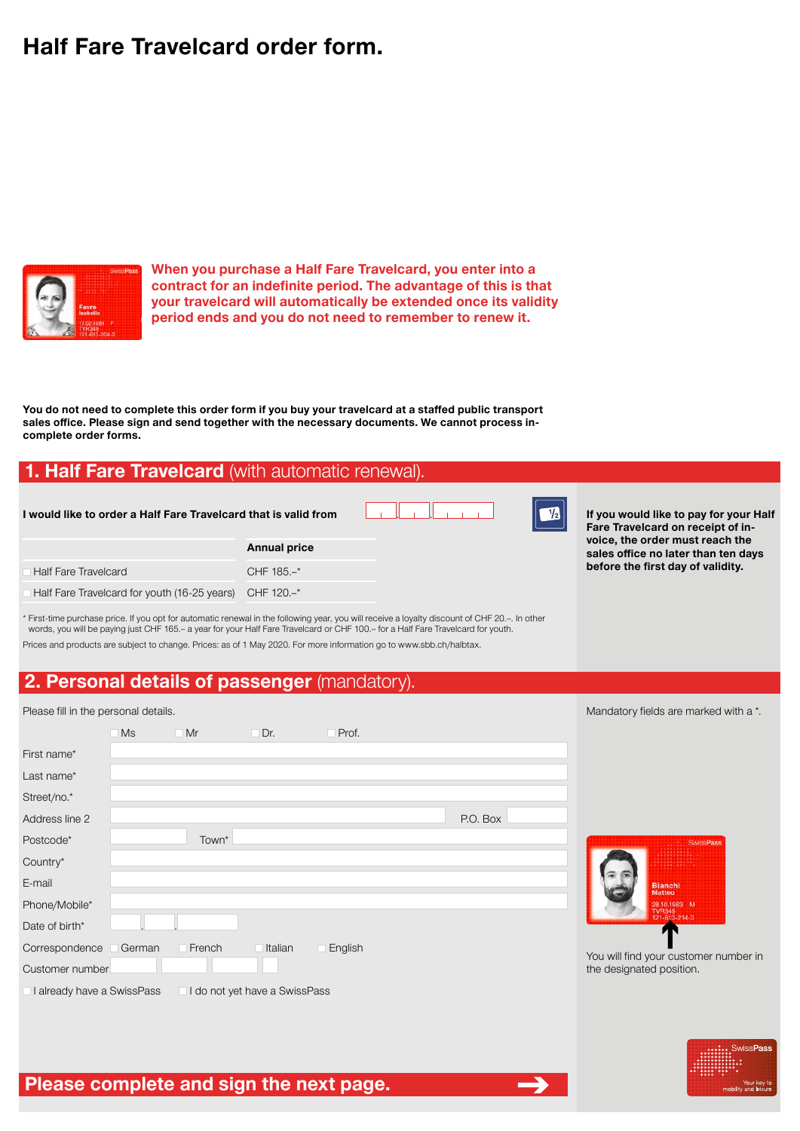# **Half Fare Travelcard order form.**



**When you purchase a Half Fare Travelcard, you enter into a contract for an indefinite period. The advantage of this is that your travelcard will automatically be extended once its validity period ends and you do not need to remember to renew it.**

**You do not need to complete this order form if you buy your travelcard at a staffed public transport sales office. Please sign and send together with the necessary documents. We cannot process incomplete order forms.**

### **1. Half Fare Travelcard** (with automatic renewal).

| I would like to order a Half Fare Travelcard that is valid from |                     |  |  |  |
|-----------------------------------------------------------------|---------------------|--|--|--|
|                                                                 | <b>Annual price</b> |  |  |  |
| <b>Half Fare Travelcard</b>                                     | CHF $185. -^*$      |  |  |  |
| Half Fare Travelcard for youth (16-25 years) CHF 120.-*         |                     |  |  |  |

**I** If you would like to pay for your Half **Fare Travelcard on receipt of invoice, the order must reach the sales office no later than ten days before the first day of validity.**

\* First-time purchase price. If you opt for automatic renewal in the following year, you will receive a loyalty discount of CHF 20.–. In other words, you will be paying just CHF 165.– a year for your Half Fare Travelcard or CHF 100.– for a Half Fare Travelcard for youth. Prices and products are subject to change. Prices: as of 1 May 2020. For more information go to www.sbb.ch/halbtax.

### **2. Personal details of passenger** (mandatory).

| Please fill in the personal details. |        |           |                               |         |          | Mandatory fields are marked with a *.   |
|--------------------------------------|--------|-----------|-------------------------------|---------|----------|-----------------------------------------|
|                                      | Ms     | $\Box$ Mr | Dr.                           | Prof.   |          |                                         |
| First name*                          |        |           |                               |         |          |                                         |
| Last name*                           |        |           |                               |         |          |                                         |
| Street/no.*                          |        |           |                               |         |          |                                         |
| Address line 2                       |        |           |                               |         | P.O. Box |                                         |
| Postcode*                            |        | Town*     |                               |         |          | <b>SwissPass</b>                        |
| Country*                             |        |           |                               |         |          |                                         |
| E-mail                               |        |           |                               |         |          | <b>Bianchi</b><br><b>Matteo</b>         |
| Phone/Mobile*                        |        |           |                               |         |          | 28.10.1983 M<br>TVR349<br>121-613-214-3 |
| Date of birth*                       |        |           |                               |         |          | и                                       |
| Correspondence                       | German | French    | Italian                       | English |          | You will find your customer number in   |
| Customer number                      |        |           |                               |         |          | the designated position.                |
| I already have a SwissPass           |        |           | I do not yet have a SwissPass |         |          |                                         |

. ـــــــــا



**Please complete and sign the next page.**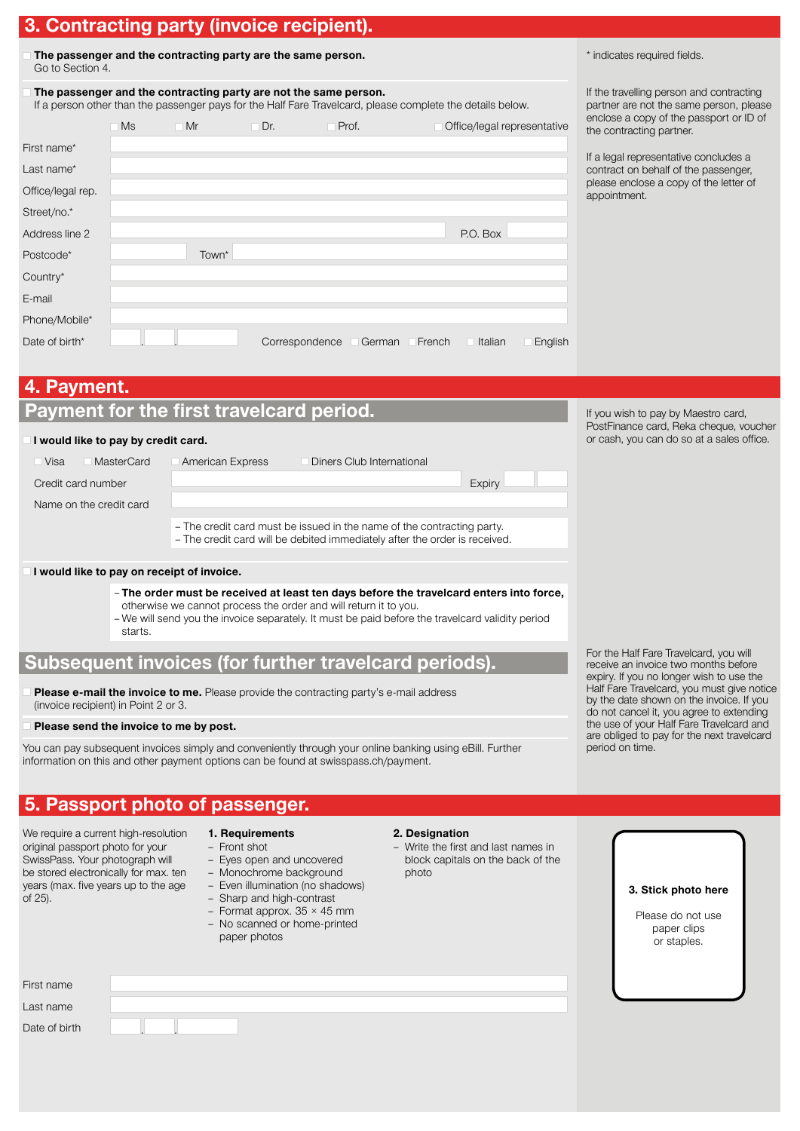# **3. Contracting party (invoice recipient).**

| The passenger and the contracting party are the same person. |
|--------------------------------------------------------------|
| Go to Section 4.                                             |

**The passenger and the contracting party are not the same person.** 

If a person other than the passenger pays for the Half Fare Travelcard, please complete the details below.

|                   | <b>Ms</b> | Mr    | $\Box$ Dr.     | Prof.  |        | Office/legal representative |         |
|-------------------|-----------|-------|----------------|--------|--------|-----------------------------|---------|
| First name*       |           |       |                |        |        |                             |         |
| Last name*        |           |       |                |        |        |                             |         |
| Office/legal rep. |           |       |                |        |        |                             |         |
| Street/no.*       |           |       |                |        |        |                             |         |
| Address line 2    |           |       |                |        |        | P.O. Box                    |         |
| Postcode*         |           | Town* |                |        |        |                             |         |
| Country*          |           |       |                |        |        |                             |         |
| E-mail            |           |       |                |        |        |                             |         |
| Phone/Mobile*     |           |       |                |        |        |                             |         |
| Date of birth*    |           |       | Correspondence | German | French | Italian                     | English |

\* indicates required fields.

If the travelling person and contracting partner are not the same person, please enclose a copy of the passport or ID of the contracting partner.

If a legal representative concludes a contract on behalf of the passenger, please enclose a copy of the letter of appointment.

### **4. Payment.**

| Payment for the first travelcard period. |  |  |
|------------------------------------------|--|--|
|------------------------------------------|--|--|

#### **I would like to pay by credit card.**

| MasterCard<br>Visa      | American Express | Diners Club International                                                                                                                            |        |
|-------------------------|------------------|------------------------------------------------------------------------------------------------------------------------------------------------------|--------|
| Credit card number      |                  |                                                                                                                                                      | Expiry |
| Name on the credit card |                  |                                                                                                                                                      |        |
|                         |                  | - The credit card must be issued in the name of the contracting party.<br>- The credit card will be debited immediately after the order is received. |        |

#### **I would like to pay on receipt of invoice.**

- **The order must be received at least ten days before the travelcard enters into force,** otherwise we cannot process the order and will return it to you.
- We will send you the invoice separately. It must be paid before the travelcard validity period starts.

### **Subsequent invoices (for further travelcard periods).**

Please e-mail the invoice to me. Please provide the contracting party's e-mail address (invoice recipient) in Point 2 or 3.

#### **Please send the invoice to me by post.**

You can pay subsequent invoices simply and conveniently through your online banking using eBill. Further information on this and other payment options can be found at swisspass.ch/payment.

### **5. Passport photo of passenger.**

We require a current high-resolution original passport photo for your SwissPass. Your photograph will be stored electronically for max. ten years (max. five years up to the age of 25).

- **1. Requirements**
- Front shot
- Eyes open and uncovered – Monochrome background
- 
- 
- 
- No scanned or home-printed paper photos
- - Write the first and last names in photo

If you wish to pay by Maestro card, PostFinance card, Reka cheque, voucher or cash, you can do so at a sales office.

For the Half Fare Travelcard, you will receive an invoice two months before expiry. If you no longer wish to use the Half Fare Travelcard, you must give notice by the date shown on the invoice. If you do not cancel it, you agree to extending the use of your Half Fare Travelcard and are obliged to pay for the next travelcard period on time.

**3. Stick photo here**

Please do not use paper clips or staples.

First name

Last name

Date of birth

. .

- 
- Even illumination (no shadows)
- Sharp and high-contrast
- Format approx.  $35 \times 45$  mm
- 
- **2. Designation**
- block capitals on the back of the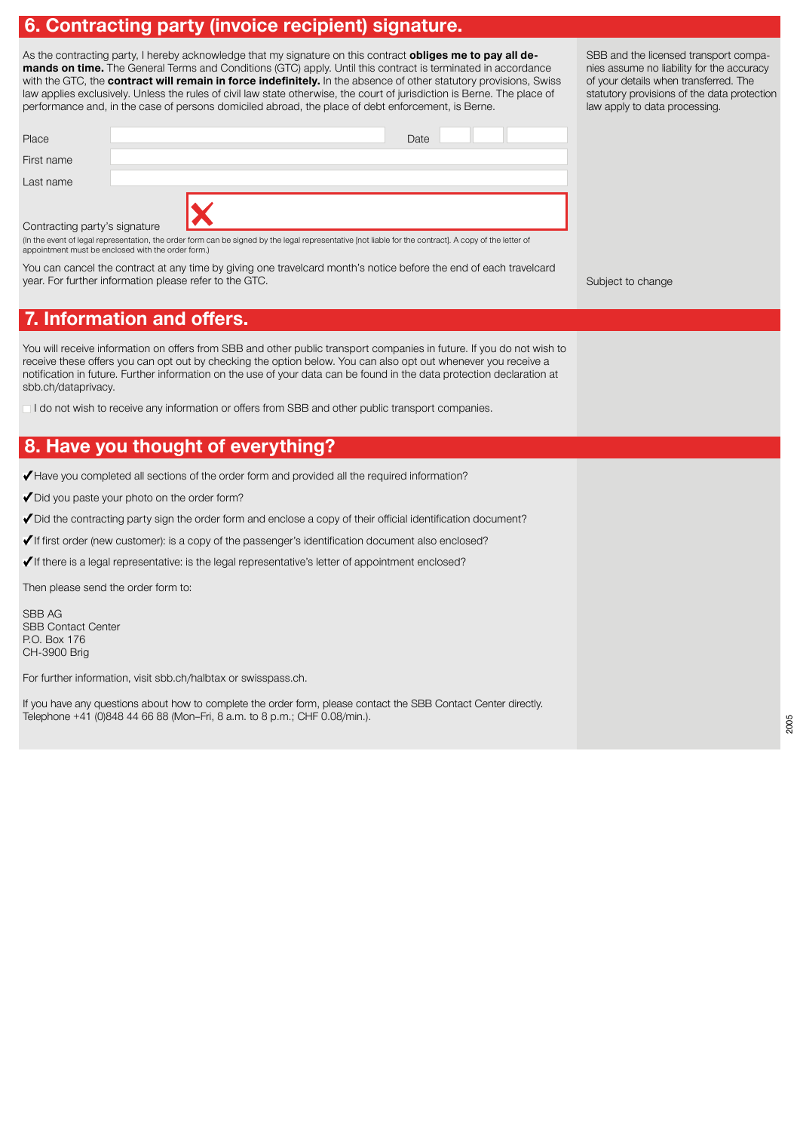# **6. Contracting party (invoice recipient) signature.**

As the contracting party, I hereby acknowledge that my signature on this contract **obliges me to pay all demands on time.** The General Terms and Conditions (GTC) apply. Until this contract is terminated in accordance with the GTC, the **contract will remain in force indefinitely.** In the absence of other statutory provisions, Swiss law applies exclusively. Unless the rules of civil law state otherwise, the court of jurisdiction is Berne. The place of performance and, in the case of persons domiciled abroad, the place of debt enforcement, is Berne.

| Place                         |   |                                                                                                                                                        | Date |  |
|-------------------------------|---|--------------------------------------------------------------------------------------------------------------------------------------------------------|------|--|
| First name                    |   |                                                                                                                                                        |      |  |
| Last name                     |   |                                                                                                                                                        |      |  |
| Contracting party's signature |   |                                                                                                                                                        |      |  |
|                               | . | (In the event of legal representation, the order form can be signed by the legal representative [not liable for the contract]. A copy of the letter of |      |  |

appointment must be enclosed with the order form.)

You can cancel the contract at any time by giving one travelcard month's notice before the end of each travelcard year. For further information please refer to the GTC.

Subject to change

# **7. Information and offers.**

You will receive information on offers from SBB and other public transport companies in future. If you do not wish to receive these offers you can opt out by checking the option below. You can also opt out whenever you receive a notification in future. Further information on the use of your data can be found in the data protection declaration at sbb.ch/dataprivacy.

I do not wish to receive any information or offers from SBB and other public transport companies.

# **8. Have you thought of everything?**

Have you completed all sections of the order form and provided all the required information?

Did you paste your photo on the order form?

 $\blacktriangledown$  Did the contracting party sign the order form and enclose a copy of their official identification document?

√ If first order (new customer): is a copy of the passenger's identification document also enclosed?

 $\checkmark$  If there is a legal representative: is the legal representative's letter of appointment enclosed?

Then please send the order form to:

SBB AG SBB Contact Center P.O. Box 176 CH-3900 Brig

For further information, visit sbb.ch/halbtax or swisspass.ch.

If you have any questions about how to complete the order form, please contact the SBB Contact Center directly. Telephone +41 (0)848 44 66 88 (Mon–Fri, 8 a.m. to 8 p.m.; CHF 0.08/min.).

2005

SBB and the licensed transport companies assume no liability for the accuracy of your details when transferred. The statutory provisions of the data protection law apply to data processing.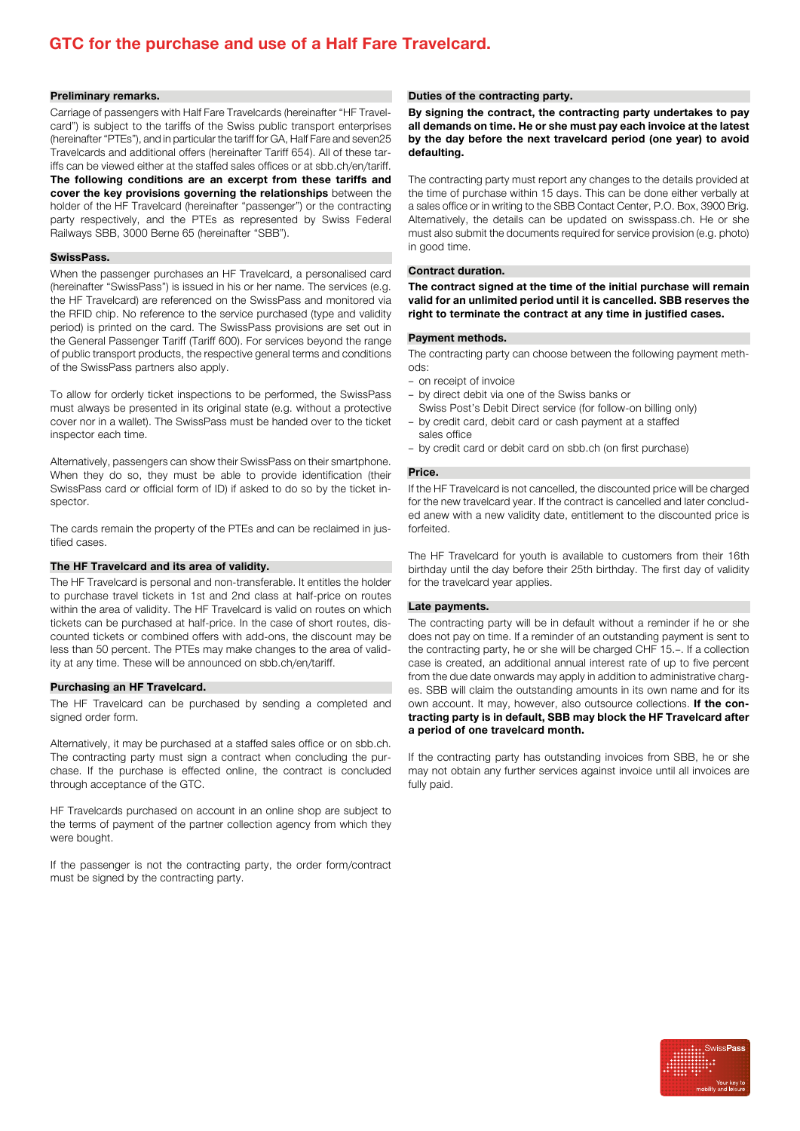## **GTC for the purchase and use of a Half Fare Travelcard.**

#### **Preliminary remarks.**

Carriage of passengers with Half Fare Travelcards (hereinafter "HF Travelcard") is subject to the tariffs of the Swiss public transport enterprises (hereinafter "PTEs"), and in particular the tariff for GA, Half Fare and seven25 Travelcards and additional offers (hereinafter Tariff 654). All of these tariffs can be viewed either at the staffed sales offices or at sbb.ch/en/tariff. **The following conditions are an excerpt from these tariffs and cover the key provisions governing the relationships** between the holder of the HF Travelcard (hereinafter "passenger") or the contracting party respectively, and the PTEs as represented by Swiss Federal Railways SBB, 3000 Berne 65 (hereinafter "SBB").

#### **SwissPass.**

When the passenger purchases an HF Travelcard, a personalised card (hereinafter "SwissPass") is issued in his or her name. The services (e.g. the HF Travelcard) are referenced on the SwissPass and monitored via the RFID chip. No reference to the service purchased (type and validity period) is printed on the card. The SwissPass provisions are set out in the General Passenger Tariff (Tariff 600). For services beyond the range of public transport products, the respective general terms and conditions of the SwissPass partners also apply.

To allow for orderly ticket inspections to be performed, the SwissPass must always be presented in its original state (e.g. without a protective cover nor in a wallet). The SwissPass must be handed over to the ticket inspector each time.

Alternatively, passengers can show their SwissPass on their smartphone. When they do so, they must be able to provide identification (their SwissPass card or official form of ID) if asked to do so by the ticket inspector.

The cards remain the property of the PTEs and can be reclaimed in justified cases.

#### **The HF Travelcard and its area of validity.**

The HF Travelcard is personal and non-transferable. It entitles the holder to purchase travel tickets in 1st and 2nd class at half-price on routes within the area of validity. The HF Travelcard is valid on routes on which tickets can be purchased at half-price. In the case of short routes, discounted tickets or combined offers with add-ons, the discount may be less than 50 percent. The PTEs may make changes to the area of validity at any time. These will be announced on sbb.ch/en/tariff.

#### **Purchasing an HF Travelcard.**

The HF Travelcard can be purchased by sending a completed and signed order form.

Alternatively, it may be purchased at a staffed sales office or on sbb.ch. The contracting party must sign a contract when concluding the purchase. If the purchase is effected online, the contract is concluded through acceptance of the GTC.

HF Travelcards purchased on account in an online shop are subject to the terms of payment of the partner collection agency from which they were bought.

If the passenger is not the contracting party, the order form/contract must be signed by the contracting party.

#### **Duties of the contracting party.**

**By signing the contract, the contracting party undertakes to pay all demands on time. He or she must pay each invoice at the latest by the day before the next travelcard period (one year) to avoid defaulting.** 

The contracting party must report any changes to the details provided at the time of purchase within 15 days. This can be done either verbally at a sales office or in writing to the SBB Contact Center, P.O. Box, 3900 Brig. Alternatively, the details can be updated on swisspass.ch. He or she must also submit the documents required for service provision (e.g. photo) in good time.

#### **Contract duration.**

**The contract signed at the time of the initial purchase will remain valid for an unlimited period until it is cancelled. SBB reserves the right to terminate the contract at any time in justified cases.** 

#### **Payment methods.**

The contracting party can choose between the following payment methods:

- on receipt of invoice
- by direct debit via one of the Swiss banks or
- Swiss Post's Debit Direct service (for follow-on billing only) – by credit card, debit card or cash payment at a staffed
- sales office
- by credit card or debit card on sbb.ch (on first purchase)

#### **Price.**

If the HF Travelcard is not cancelled, the discounted price will be charged for the new travelcard year. If the contract is cancelled and later concluded anew with a new validity date, entitlement to the discounted price is forfeited.

The HF Travelcard for youth is available to customers from their 16th birthday until the day before their 25th birthday. The first day of validity for the travelcard year applies.

#### **Late payments.**

The contracting party will be in default without a reminder if he or she does not pay on time. If a reminder of an outstanding payment is sent to the contracting party, he or she will be charged CHF 15.–. If a collection case is created, an additional annual interest rate of up to five percent from the due date onwards may apply in addition to administrative charges. SBB will claim the outstanding amounts in its own name and for its own account. It may, however, also outsource collections. **If the contracting party is in default, SBB may block the HF Travelcard after a period of one travelcard month.** 

If the contracting party has outstanding invoices from SBB, he or she may not obtain any further services against invoice until all invoices are fully paid.